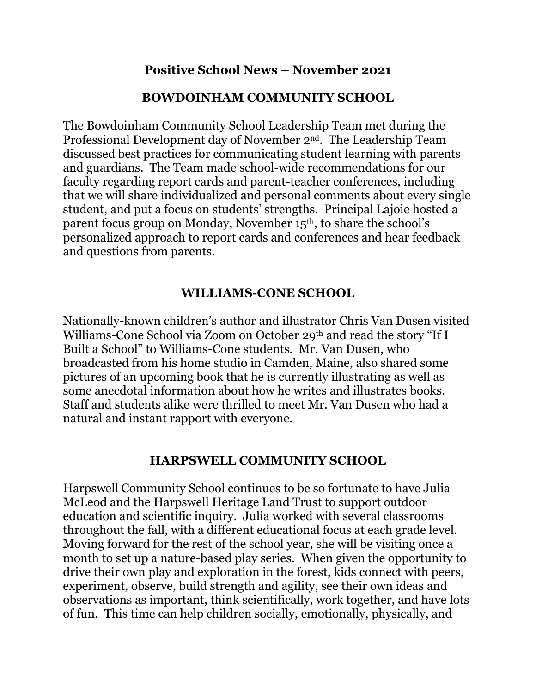### **Positive School News – November 2021**

## **BOWDOINHAM COMMUNITY SCHOOL**

The Bowdoinham Community School Leadership Team met during the Professional Development day of November 2nd. The Leadership Team discussed best practices for communicating student learning with parents and guardians. The Team made school-wide recommendations for our faculty regarding report cards and parent-teacher conferences, including that we will share individualized and personal comments about every single student, and put a focus on students' strengths. Principal Lajoie hosted a parent focus group on Monday, November 15<sup>th</sup>, to share the school's personalized approach to report cards and conferences and hear feedback and questions from parents.

## **WILLIAMS-CONE SCHOOL**

Nationally-known children's author and illustrator Chris Van Dusen visited Williams-Cone School via Zoom on October 29th and read the story "If I Built a School" to Williams-Cone students. Mr. Van Dusen, who broadcasted from his home studio in Camden, Maine, also shared some pictures of an upcoming book that he is currently illustrating as well as some anecdotal information about how he writes and illustrates books. Staff and students alike were thrilled to meet Mr. Van Dusen who had a natural and instant rapport with everyone.

#### **HARPSWELL COMMUNITY SCHOOL**

Harpswell Community School continues to be so fortunate to have Julia McLeod and the Harpswell Heritage Land Trust to support outdoor education and scientific inquiry. Julia worked with several classrooms throughout the fall, with a different educational focus at each grade level. Moving forward for the rest of the school year, she will be visiting once a month to set up a nature-based play series. When given the opportunity to drive their own play and exploration in the forest, kids connect with peers, experiment, observe, build strength and agility, see their own ideas and observations as important, think scientifically, work together, and have lots of fun. This time can help children socially, emotionally, physically, and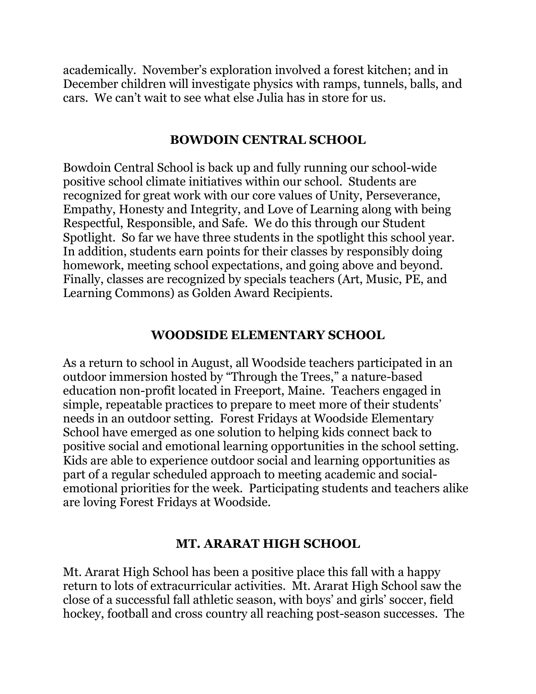academically. November's exploration involved a forest kitchen; and in December children will investigate physics with ramps, tunnels, balls, and cars. We can't wait to see what else Julia has in store for us.

#### **BOWDOIN CENTRAL SCHOOL**

Bowdoin Central School is back up and fully running our school-wide positive school climate initiatives within our school. Students are recognized for great work with our core values of Unity, Perseverance, Empathy, Honesty and Integrity, and Love of Learning along with being Respectful, Responsible, and Safe. We do this through our Student Spotlight. So far we have three students in the spotlight this school year. In addition, students earn points for their classes by responsibly doing homework, meeting school expectations, and going above and beyond. Finally, classes are recognized by specials teachers (Art, Music, PE, and Learning Commons) as Golden Award Recipients.

#### **WOODSIDE ELEMENTARY SCHOOL**

As a return to school in August, all Woodside teachers participated in an outdoor immersion hosted by "Through the Trees," a nature-based education non-profit located in Freeport, Maine. Teachers engaged in simple, repeatable practices to prepare to meet more of their students' needs in an outdoor setting. Forest Fridays at Woodside Elementary School have emerged as one solution to helping kids connect back to positive social and emotional learning opportunities in the school setting. Kids are able to experience outdoor social and learning opportunities as part of a regular scheduled approach to meeting academic and socialemotional priorities for the week. Participating students and teachers alike are loving Forest Fridays at Woodside.

# **MT. ARARAT HIGH SCHOOL**

Mt. Ararat High School has been a positive place this fall with a happy return to lots of extracurricular activities. Mt. Ararat High School saw the close of a successful fall athletic season, with boys' and girls' soccer, field hockey, football and cross country all reaching post-season successes. The